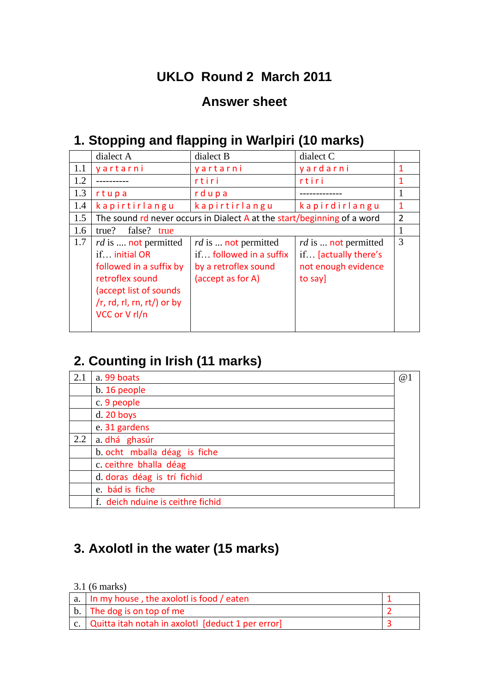### **UKLO Round 2 March 2011**

#### **Answer sheet**

#### **1. Stopping and flapping in Warlpiri (10 marks)**

|     | dialect A                                                                                                                                                                     | dialect B                                                                                                 | dialect C                                                                                   |                |
|-----|-------------------------------------------------------------------------------------------------------------------------------------------------------------------------------|-----------------------------------------------------------------------------------------------------------|---------------------------------------------------------------------------------------------|----------------|
| 1.1 | yartarni                                                                                                                                                                      | yartarni                                                                                                  | yardarni                                                                                    | $\mathbf 1$    |
| 1.2 |                                                                                                                                                                               | rtiri                                                                                                     | rtiri                                                                                       |                |
| 1.3 | rtupa                                                                                                                                                                         | rdupa                                                                                                     |                                                                                             | 1              |
| 1.4 | kapirtirlangu                                                                                                                                                                 | kapirtirlangu                                                                                             | kapirdirlangu                                                                               | -1             |
| 1.5 | The sound rd never occurs in Dialect $A$ at the start/beginning of a word                                                                                                     |                                                                                                           |                                                                                             | $\overline{2}$ |
| 1.6 | false? true<br>true?                                                                                                                                                          |                                                                                                           |                                                                                             |                |
| 1.7 | <i>rd</i> is <b>not</b> permitted<br>if initial OR<br>followed in a suffix by<br>retroflex sound<br>(accept list of sounds)<br>$/r$ , rd, rl, rn, rt/) or by<br>VCC or V rl/n | <i>rd</i> is <b>not</b> permitted<br>if followed in a suffix<br>by a retroflex sound<br>(accept as for A) | <i>rd</i> is <b>not</b> permitted<br>if [actually there's<br>not enough evidence<br>to say] | 3              |

### **2. Counting in Irish (11 marks)**

| 2.1 | a. 99 boats                       | @1 |
|-----|-----------------------------------|----|
|     | b. 16 people                      |    |
|     | c. 9 people                       |    |
|     | $d. 20$ boys                      |    |
|     | e. 31 gardens                     |    |
| 2.2 | a. dhá ghasúr                     |    |
|     | b. ocht mballa déag is fiche      |    |
|     | c. ceithre bhalla déag            |    |
|     | d. doras déag is trí fichid       |    |
|     | e. bád is fiche                   |    |
|     | f. deich nduine is ceithre fichid |    |

#### **3. Axolotl in the water (15 marks)**

3.1 (6 marks)

| a.   In my house, the axolotl is food / eaten                        |  |
|----------------------------------------------------------------------|--|
| b. The dog is on top of me                                           |  |
| $\vert$ c. $\vert$ Quitta itah notah in axolotl [deduct 1 per error] |  |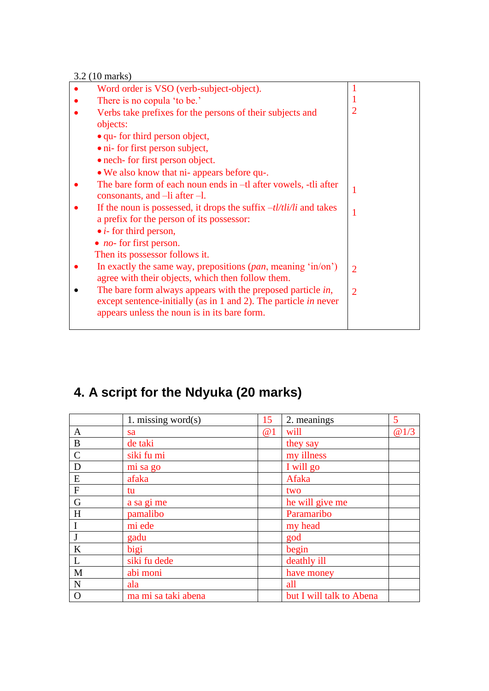3.2 (10 marks)

| Word order is VSO (verb-subject-object).                                                                                                                                               |                |
|----------------------------------------------------------------------------------------------------------------------------------------------------------------------------------------|----------------|
| There is no copula 'to be.'                                                                                                                                                            |                |
| Verbs take prefixes for the persons of their subjects and                                                                                                                              | $\overline{2}$ |
| objects:                                                                                                                                                                               |                |
| • qu- for third person object,                                                                                                                                                         |                |
| · ni- for first person subject,                                                                                                                                                        |                |
| • nech- for first person object.                                                                                                                                                       |                |
| • We also know that ni- appears before qu-.                                                                                                                                            |                |
| The bare form of each noun ends in -tl after vowels, -tli after<br>consonants, and $\text{}-\text{li}$ after $\text{--}l$ .                                                            |                |
| If the noun is possessed, it drops the suffix $-\frac{t}{\frac{t}{t}}$ and takes<br>a prefix for the person of its possessor:                                                          |                |
| $\bullet$ <i>i</i> - for third person,                                                                                                                                                 |                |
| • <i>no</i> - for first person.                                                                                                                                                        |                |
| Then its possessor follows it.                                                                                                                                                         |                |
| In exactly the same way, prepositions $(\text{pan}, \text{meaning 'in}/\text{on'})$<br>agree with their objects, which then follow them.                                               | $\overline{2}$ |
| The bare form always appears with the preposed particle in,<br>except sentence-initially (as in 1 and 2). The particle <i>in</i> never<br>appears unless the noun is in its bare form. | $\overline{2}$ |
|                                                                                                                                                                                        |                |

# **4. A script for the Ndyuka (20 marks)**

|               | 1. missing word $(s)$ | 15 | 2. meanings              | 5    |
|---------------|-----------------------|----|--------------------------|------|
| A             | sa                    | @1 | will                     | @1/3 |
| $\bf{B}$      | de taki               |    | they say                 |      |
| $\mathcal{C}$ | siki fu mi            |    | my illness               |      |
| D             | mi sa go              |    | I will go                |      |
| ${\bf E}$     | afaka                 |    | Afaka                    |      |
| ${\bf F}$     | tu                    |    | two                      |      |
| G             | a sa gi me            |    | he will give me          |      |
| H             | pamalibo              |    | Paramaribo               |      |
| $\mathbf I$   | mi ede                |    | my head                  |      |
| J             | gadu                  |    | god                      |      |
| $\bf K$       | bigi                  |    | begin                    |      |
| $\mathbf{L}$  | siki fu dede          |    | deathly ill              |      |
| M             | abi moni              |    | have money               |      |
| $\mathbf N$   | ala                   |    | all                      |      |
| $\Omega$      | ma mi sa taki abena   |    | but I will talk to Abena |      |